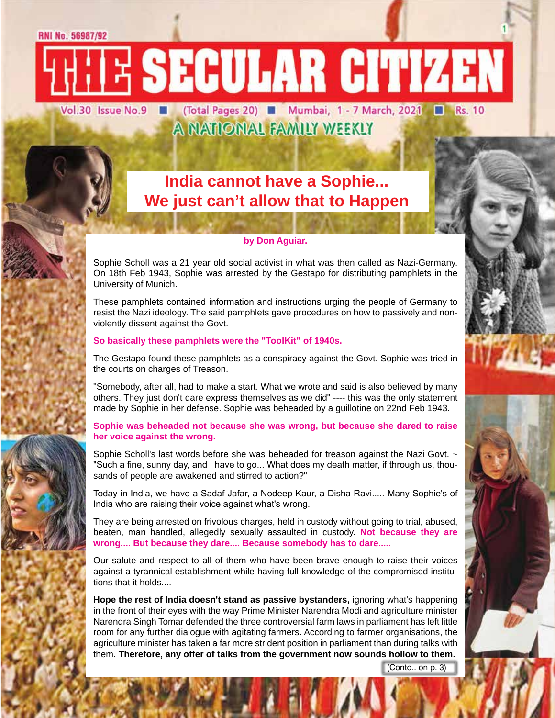# RNI No. 56987/92

E SECULAR CITIZEN Vol.30 Issue No.9 (Total Pages 20) Mumbai, 1 - 7 March, 2021 N Rs. 10

# A NATIONAL FAMILY WEEKLY

# **India cannot have a Sophie... We just can't allow that to Happen**

# **by Don Aguiar.**

Sophie Scholl was a 21 year old social activist in what was then called as Nazi-Germany. On 18th Feb 1943, Sophie was arrested by the Gestapo for distributing pamphlets in the University of Munich.

These pamphlets contained information and instructions urging the people of Germany to resist the Nazi ideology. The said pamphlets gave procedures on how to passively and nonviolently dissent against the Govt.

# **So basically these pamphlets were the "ToolKit" of 1940s.**

The Gestapo found these pamphlets as a conspiracy against the Govt. Sophie was tried in the courts on charges of Treason.

"Somebody, after all, had to make a start. What we wrote and said is also believed by many others. They just don't dare express themselves as we did" ---- this was the only statement made by Sophie in her defense. Sophie was beheaded by a guillotine on 22nd Feb 1943.

# **Sophie was beheaded not because she was wrong, but because she dared to raise her voice against the wrong.**

Sophie Scholl's last words before she was beheaded for treason against the Nazi Govt. ~ "Such a fine, sunny day, and I have to go... What does my death matter, if through us, thousands of people are awakened and stirred to action?"

Today in India, we have a Sadaf Jafar, a Nodeep Kaur, a Disha Ravi..... Many Sophie's of India who are raising their voice against what's wrong.

They are being arrested on frivolous charges, held in custody without going to trial, abused, beaten, man handled, allegedly sexually assaulted in custody. **Not because they are wrong.... But because they dare.... Because somebody has to dare.....**

Our salute and respect to all of them who have been brave enough to raise their voices against a tyrannical establishment while having full knowledge of the compromised institutions that it holds....

**Hope the rest of India doesn't stand as passive bystanders,** ignoring what's happening in the front of their eyes with the way Prime Minister Narendra Modi and agriculture minister Narendra Singh Tomar defended the three controversial farm laws in parliament has left little room for any further dialogue with agitating farmers. According to farmer organisations, the agriculture minister has taken a far more strident position in parliament than during talks with them. **Therefore, any offer of talks from the government now sounds hollow to them.**

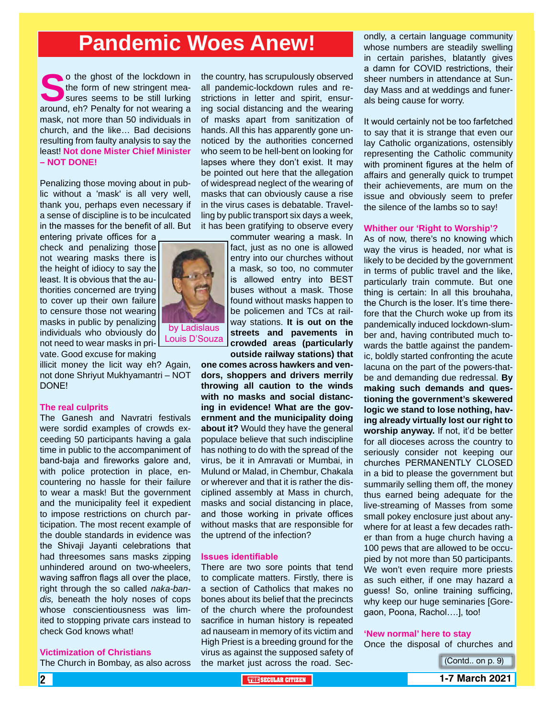# **Pandemic Woes Anew!**

**Solution** the ghost of the lockdown in the form of new stringent measures seems to be still lurking around, eh? Penalty for not wearing a mask, not more than 50 individuals in church, and the like… Bad decisions resulting from faulty analysis to say the least! **Not done Mister Chief Minister – NOT DONE!**

Penalizing those moving about in public without a 'mask' is all very well, thank you, perhaps even necessary if a sense of discipline is to be inculcated in the masses for the benefit of all. But

entering private offices for a check and penalizing those not wearing masks there is the height of idiocy to say the least. It is obvious that the authorities concerned are trying to cover up their own failure to censure those not wearing masks in public by penalizing individuals who obviously do not need to wear masks in private. Good excuse for making

illicit money the licit way eh? Again, not done Shriyut Mukhyamantri – NOT DONE!

### **The real culprits**

The Ganesh and Navratri festivals were sordid examples of crowds exceeding 50 participants having a gala time in public to the accompaniment of band-baja and fireworks galore and, with police protection in place, encountering no hassle for their failure to wear a mask! But the government and the municipality feel it expedient to impose restrictions on church participation. The most recent example of the double standards in evidence was the Shivaji Jayanti celebrations that had threesomes sans masks zipping unhindered around on two-wheelers, waving saffron flags all over the place, right through the so called *naka-bandis,* beneath the holy noses of cops whose conscientiousness was limited to stopping private cars instead to check God knows what!

### **Victimization of Christians**

The Church in Bombay, as also across

the country, has scrupulously observed all pandemic-lockdown rules and restrictions in letter and spirit, ensuring social distancing and the wearing of masks apart from sanitization of hands. All this has apparently gone unnoticed by the authorities concerned who seem to be hell-bent on looking for lapses where they don't exist. It may be pointed out here that the allegation of widespread neglect of the wearing of masks that can obviously cause a rise in the virus cases is debatable. Travelling by public transport six days a week, it has been gratifying to observe every

> commuter wearing a mask. In fact, just as no one is allowed entry into our churches without a mask, so too, no commuter is allowed entry into BEST buses without a mask. Those found without masks happen to be policemen and TCs at railway stations. **It is out on the streets and pavements in crowded areas (particularly outside railway stations) that**

**one comes across hawkers and vendors, shoppers and drivers merrily throwing all caution to the winds with no masks and social distancing in evidence! What are the government and the municipality doing about it?** Would they have the general populace believe that such indiscipline has nothing to do with the spread of the virus, be it in Amravati or Mumbai, in Mulund or Malad, in Chembur, Chakala or wherever and that it is rather the disciplined assembly at Mass in church, masks and social distancing in place, and those working in private offices without masks that are responsible for the uptrend of the infection?

### **Issues identifiable**

There are two sore points that tend to complicate matters. Firstly, there is a section of Catholics that makes no bones about its belief that the precincts of the church where the profoundest sacrifice in human history is repeated ad nauseam in memory of its victim and High Priest is a breeding ground for the virus as against the supposed safety of the market just across the road. Secondly, a certain language community whose numbers are steadily swelling in certain parishes, blatantly gives a damn for COVID restrictions, their sheer numbers in attendance at Sunday Mass and at weddings and funerals being cause for worry.

It would certainly not be too farfetched to say that it is strange that even our lay Catholic organizations, ostensibly representing the Catholic community with prominent figures at the helm of affairs and generally quick to trumpet their achievements, are mum on the issue and obviously seem to prefer the silence of the lambs so to say!

### **Whither our 'Right to Worship'?**

As of now, there's no knowing which way the virus is headed, nor what is likely to be decided by the government in terms of public travel and the like, particularly train commute. But one thing is certain: In all this brouhaha, the Church is the loser. It's time therefore that the Church woke up from its pandemically induced lockdown-slumber and, having contributed much towards the battle against the pandemic, boldly started confronting the acute lacuna on the part of the powers-thatbe and demanding due redressal. **By making such demands and questioning the government's skewered logic we stand to lose nothing, having already virtually lost our right to worship anyway.** If not, it'd be better for all dioceses across the country to seriously consider not keeping our churches PERMANENTLY CLOSED in a bid to please the government but summarily selling them off, the money thus earned being adequate for the live-streaming of Masses from some small pokey enclosure just about anywhere for at least a few decades rather than from a huge church having a 100 pews that are allowed to be occupied by not more than 50 participants. We won't even require more priests as such either, if one may hazard a guess! So, online training sufficing, why keep our huge seminaries [Goregaon, Poona, Rachol….], too!

### **'New normal' here to stay**

Once the disposal of churches and





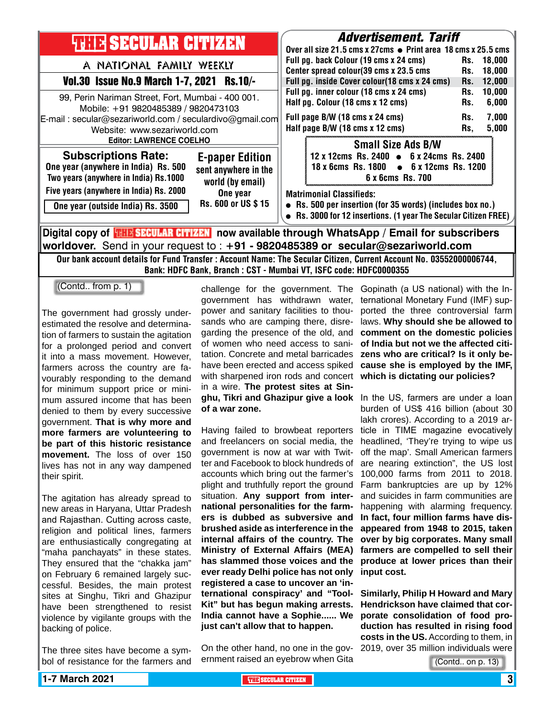

Our bank account details for Fund Transfer : Account Name: The Secular Citizen, Current Account No. 03552000006744, Bank: HDFC Bank, Branch : CST - Mumbai VT, ISFC code: HDFC0000355

(Contd.. from p. 1)

The government had grossly underestimated the resolve and determination of farmers to sustain the agitation for a prolonged period and convert it into a mass movement. However, farmers across the country are favourably responding to the demand for minimum support price or minimum assured income that has been denied to them by every successive government. **That is why more and more farmers are volunteering to be part of this historic resistance movement.** The loss of over 150 lives has not in any way dampened their spirit.

The agitation has already spread to new areas in Haryana, Uttar Pradesh and Rajasthan. Cutting across caste, religion and political lines, farmers are enthusiastically congregating at "maha panchayats" in these states. They ensured that the "chakka jam" on February 6 remained largely successful. Besides, the main protest sites at Singhu, Tikri and Ghazipur have been strengthened to resist violence by vigilante groups with the backing of police.

The three sites have become a symbol of resistance for the farmers and

government has withdrawn water, power and sanitary facilities to thousands who are camping there, disregarding the presence of the old, and of women who need access to sanitation. Concrete and metal barricades have been erected and access spiked with sharpened iron rods and concert in a wire. **The protest sites at Singhu, Tikri and Ghazipur give a look**  In the US, farmers are under a loan **of a war zone.** 

Having failed to browbeat reporters and freelancers on social media, the government is now at war with Twitter and Facebook to block hundreds of accounts which bring out the farmer's plight and truthfully report the ground situation. **Any support from international personalities for the farmers is dubbed as subversive and brushed aside as interference in the internal affairs of the country. The Ministry of External Affairs (MEA) has slammed those voices and the ever ready Delhi police has not only registered a case to uncover an 'international conspiracy' and "Tool-Kit" but has begun making arrests. India cannot have a Sophie...... We just can't allow that to happen.**

On the other hand, no one in the government raised an eyebrow when Gita

challenge for the government. The Gopinath (a US national) with the International Monetary Fund (IMF) supported the three controversial farm laws. **Why should she be allowed to comment on the domestic policies of India but not we the affected citizens who are critical? Is it only because she is employed by the IMF, which is dictating our policies?**

> burden of US\$ 416 billion (about 30 lakh crores). According to a 2019 article in TIME magazine evocatively headlined, 'They're trying to wipe us off the map'. Small American farmers are nearing extinction", the US lost 100,000 farms from 2011 to 2018. Farm bankruptcies are up by 12% and suicides in farm communities are happening with alarming frequency. **In fact, four million farms have disappeared from 1948 to 2015, taken over by big corporates. Many small farmers are compelled to sell their produce at lower prices than their input cost.**

> **Similarly, Philip H Howard and Mary Hendrickson have claimed that corporate consolidation of food production has resulted in rising food costs in the US.** According to them, in 2019, over 35 million individuals were

> > (Contd.. on p. 13)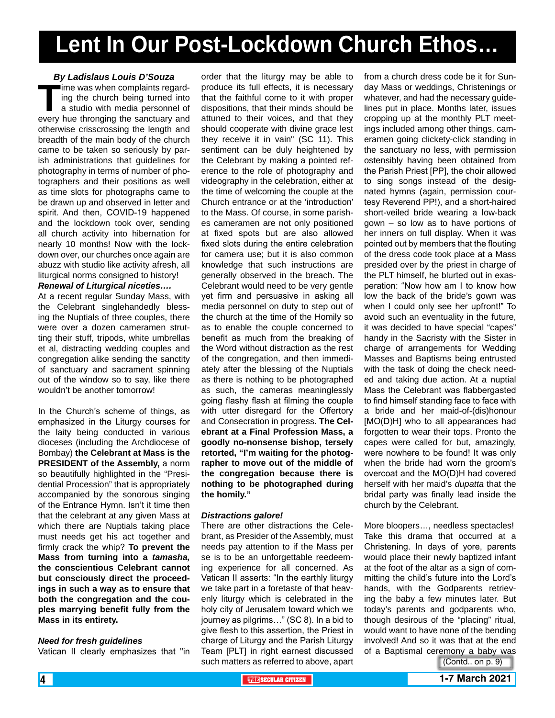# **Lent In Our Post-Lockdown Church Ethos…**

# *By Ladislaus Louis D'Souza*

**The was when complaints regarding the church being turned into a studio with media personnel of every hue thronging the sanctuary and** ing the church being turned into a studio with media personnel of otherwise crisscrossing the length and breadth of the main body of the church came to be taken so seriously by parish administrations that guidelines for photography in terms of number of photographers and their positions as well as time slots for photographs came to be drawn up and observed in letter and spirit. And then, COVID-19 happened and the lockdown took over, sending all church activity into hibernation for nearly 10 months! Now with the lockdown over, our churches once again are abuzz with studio like activity afresh, all liturgical norms consigned to history!

*Renewal of Liturgical niceties….*

At a recent regular Sunday Mass, with the Celebrant singlehandedly blessing the Nuptials of three couples, there were over a dozen cameramen strutting their stuff, tripods, white umbrellas et al, distracting wedding couples and congregation alike sending the sanctity of sanctuary and sacrament spinning out of the window so to say, like there wouldn't be another tomorrow!

In the Church's scheme of things, as emphasized in the Liturgy courses for the laity being conducted in various dioceses (including the Archdiocese of Bombay) **the Celebrant at Mass is the PRESIDENT of the Assembly,** a norm so beautifully highlighted in the "Presidential Procession" that is appropriately accompanied by the sonorous singing of the Entrance Hymn. Isn't it time then that the celebrant at any given Mass at which there are Nuptials taking place must needs get his act together and firmly crack the whip? **To prevent the Mass from turning into a** *tamasha,* **the conscientious Celebrant cannot but consciously direct the proceedings in such a way as to ensure that both the congregation and the couples marrying benefit fully from the Mass in its entirety.**

## *Need for fresh guidelines*

Vatican II clearly emphasizes that "in

order that the liturgy may be able to produce its full effects, it is necessary that the faithful come to it with proper dispositions, that their minds should be attuned to their voices, and that they should cooperate with divine grace lest they receive it in vain" (SC 11). This sentiment can be duly heightened by the Celebrant by making a pointed reference to the role of photography and videography in the celebration, either at the time of welcoming the couple at the Church entrance or at the 'introduction' to the Mass. Of course, in some parishes cameramen are not only positioned at fixed spots but are also allowed fixed slots during the entire celebration for camera use; but it is also common knowledge that such instructions are generally observed in the breach. The Celebrant would need to be very gentle yet firm and persuasive in asking all media personnel on duty to step out of the church at the time of the Homily so as to enable the couple concerned to benefit as much from the breaking of the Word without distraction as the rest of the congregation, and then immediately after the blessing of the Nuptials as there is nothing to be photographed as such, the cameras meaninglessly going flashy flash at filming the couple with utter disregard for the Offertory and Consecration in progress. **The Celebrant at a Final Profession Mass, a goodly no-nonsense bishop, tersely retorted, "I'm waiting for the photographer to move out of the middle of the congregation because there is nothing to be photographed during the homily."**

## *Distractions galore!*

There are other distractions the Celebrant, as Presider of the Assembly, must needs pay attention to if the Mass per se is to be an unforgettable reedeeming experience for all concerned. As Vatican II asserts: "In the earthly liturgy we take part in a foretaste of that heavenly liturgy which is celebrated in the holy city of Jerusalem toward which we journey as pilgrims…" (SC 8). In a bid to give flesh to this assertion, the Priest in charge of Liturgy and the Parish Liturgy Team [PLT] in right earnest discussed such matters as referred to above, apart from a church dress code be it for Sunday Mass or weddings, Christenings or whatever, and had the necessary guidelines put in place. Months later, issues cropping up at the monthly PLT meetings included among other things, cameramen going clickety-click standing in the sanctuary no less, with permission ostensibly having been obtained from the Parish Priest [PP], the choir allowed to sing songs instead of the designated hymns (again, permission courtesy Reverend PP!), and a short-haired short-veiled bride wearing a low-back gown – so low as to have portions of her inners on full display. When it was pointed out by members that the flouting of the dress code took place at a Mass presided over by the priest in charge of the PLT himself, he blurted out in exasperation: "Now how am I to know how low the back of the bride's gown was when I could only see her upfront!" To avoid such an eventuality in the future, it was decided to have special "capes" handy in the Sacristy with the Sister in charge of arrangements for Wedding Masses and Baptisms being entrusted with the task of doing the check needed and taking due action. At a nuptial Mass the Celebrant was flabbergasted to find himself standing face to face with a bride and her maid-of-(dis)honour [MO(D)H] who to all appearances had forgotten to wear their tops. Pronto the capes were called for but, amazingly, were nowhere to be found! It was only when the bride had worn the groom's overcoat and the MO(D)H had covered herself with her maid's *dupatta* that the bridal party was finally lead inside the church by the Celebrant.

More bloopers…, needless spectacles! Take this drama that occurred at a Christening. In days of yore, parents would place their newly baptized infant at the foot of the altar as a sign of committing the child's future into the Lord's hands, with the Godparents retrieving the baby a few minutes later. But today's parents and godparents who, though desirous of the "placing" ritual, would want to have none of the bending involved! And so it was that at the end of a Baptismal ceremony a baby was

(Contd.. on p. 9)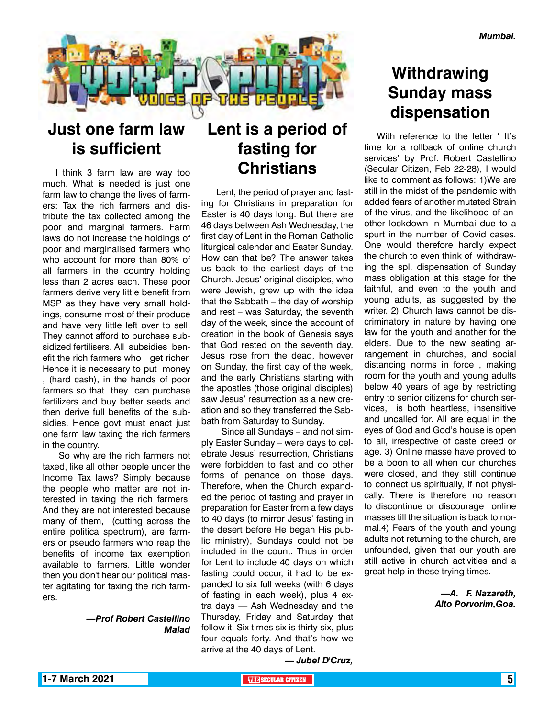

# **Just one farm law is sufficient**

I think 3 farm law are way too much. What is needed is just one farm law to change the lives of farmers: Tax the rich farmers and distribute the tax collected among the poor and marginal farmers. Farm laws do not increase the holdings of poor and marginalised farmers who who account for more than 80% of all farmers in the country holding less than 2 acres each. These poor farmers derive very little benefit from MSP as they have very small holdings, consume most of their produce and have very little left over to sell. They cannot afford to purchase subsidized fertilisers. All subsidies benefit the rich farmers who get richer. Hence it is necessary to put money , (hard cash), in the hands of poor farmers so that they can purchase fertilizers and buy better seeds and then derive full benefits of the subsidies. Hence govt must enact just one farm law taxing the rich farmers in the country.

 So why are the rich farmers not taxed, like all other people under the Income Tax laws? Simply because the people who matter are not interested in taxing the rich farmers. And they are not interested because many of them, (cutting across the entire political spectrum), are farmers or pseudo farmers who reap the benefits of income tax exemption available to farmers. Little wonder then you don't hear our political master agitating for taxing the rich farmers.

# *—Prof Robert Castellino Malad*

# **Lent is a period of fasting for Christians**

 Lent, the period of prayer and fasting for Christians in preparation for Easter is 40 days long. But there are 46 days between Ash Wednesday, the first day of Lent in the Roman Catholic liturgical calendar and Easter Sunday. How can that be? The answer takes us back to the earliest days of the Church. Jesus' original disciples, who were Jewish, grew up with the idea that the Sabbath – the day of worship and rest – was Saturday, the seventh day of the week, since the account of creation in the book of Genesis says that God rested on the seventh day. Jesus rose from the dead, however on Sunday, the first day of the week, and the early Christians starting with the apostles (those original disciples) saw Jesus' resurrection as a new creation and so they transferred the Sabbath from Saturday to Sunday.

 Since all Sundays – and not simply Easter Sunday – were days to celebrate Jesus' resurrection, Christians were forbidden to fast and do other forms of penance on those days. Therefore, when the Church expanded the period of fasting and prayer in preparation for Easter from a few days to 40 days (to mirror Jesus' fasting in the desert before He began His public ministry), Sundays could not be included in the count. Thus in order for Lent to include 40 days on which fasting could occur, it had to be expanded to six full weeks (with 6 days of fasting in each week), plus 4 extra days — Ash Wednesday and the Thursday, Friday and Saturday that follow it. Six times six is thirty-six, plus four equals forty. And that's how we arrive at the 40 days of Lent.

# **Withdrawing Sunday mass dispensation**

With reference to the letter ' It's time for a rollback of online church services' by Prof. Robert Castellino (Secular Citizen, Feb 22-28), I would like to comment as follows: 1)We are still in the midst of the pandemic with added fears of another mutated Strain of the virus, and the likelihood of another lockdown in Mumbai due to a spurt in the number of Covid cases. One would therefore hardly expect the church to even think of withdrawing the spl. dispensation of Sunday mass obligation at this stage for the faithful, and even to the youth and young adults, as suggested by the writer. 2) Church laws cannot be discriminatory in nature by having one law for the youth and another for the elders. Due to the new seating arrangement in churches, and social distancing norms in force , making room for the youth and young adults below 40 years of age by restricting entry to senior citizens for church services, is both heartless, insensitive and uncalled for. All are equal in the eyes of God and God's house is open to all, irrespective of caste creed or age. 3) Online masse have proved to be a boon to all when our churches were closed, and they still continue to connect us spiritually, if not physically. There is therefore no reason to discontinue or discourage online masses till the situation is back to normal.4) Fears of the youth and young adults not returning to the church, are unfounded, given that our youth are still active in church activities and a great help in these trying times.

> *—A. F. Nazareth, Alto Porvorim,Goa.*

*— Jubel D'Cruz,*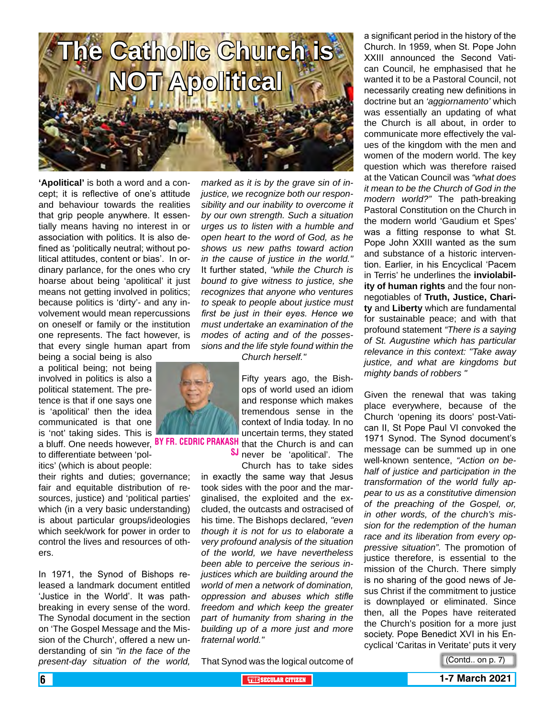

**'Apolitical'** is both a word and a concept; it is reflective of one's attitude and behaviour towards the realities that grip people anywhere. It essentially means having no interest in or association with politics. It is also defined as 'politically neutral; without political attitudes, content or bias'. In ordinary parlance, for the ones who cry hoarse about being 'apolitical' it just means not getting involved in politics; because politics is 'dirty'- and any involvement would mean repercussions on oneself or family or the institution one represents. The fact however, is that every single human apart from

being a social being is also a political being; not being involved in politics is also a political statement. The pretence is that if one says one is 'apolitical' then the idea communicated is that one is 'not' taking sides. This is a bluff. One needs however, <sup>BY FR. CEDRIC PRAKASH</sup> that the Church is and can to differentiate between 'politics' (which is about people:

their rights and duties; governance; fair and equitable distribution of resources, justice) and 'political parties' which (in a very basic understanding) is about particular groups/ideologies which seek/work for power in order to control the lives and resources of others.

In 1971, the Synod of Bishops released a landmark document entitled 'Justice in the World'. It was pathbreaking in every sense of the word. The Synodal document in the section on 'The Gospel Message and the Mission of the Church', offered a new understanding of sin *"in the face of the present-day situation of the world,* 

*marked as it is by the grave sin of injustice, we recognize both our responsibility and our inability to overcome it by our own strength. Such a situation urges us to listen with a humble and open heart to the word of God, as he shows us new paths toward action in the cause of justice in the world."* It further stated, *"while the Church is bound to give witness to justice, she recognizes that anyone who ventures to speak to people about justice must first be just in their eyes. Hence we must undertake an examination of the modes of acting and of the possessions and the life style found within the* 

*Church herself."*

SJ never be 'apolitical'. The Church has to take sides

in exactly the same way that Jesus took sides with the poor and the marginalised, the exploited and the excluded, the outcasts and ostracised of his time. The Bishops declared, *"even though it is not for us to elaborate a very profound analysis of the situation of the world, we have nevertheless been able to perceive the serious injustices which are building around the world of men a network of domination, oppression and abuses which stifle freedom and which keep the greater part of humanity from sharing in the building up of a more just and more* 



Church. In 1959, when St. Pope John XXIII announced the Second Vatican Council, he emphasised that he wanted it to be a Pastoral Council, not necessarily creating new definitions in doctrine but an *'aggiornamento'* which was essentially an updating of what the Church is all about, in order to communicate more effectively the values of the kingdom with the men and women of the modern world. The key question which was therefore raised at the Vatican Council was *"what does it mean to be the Church of God in the modern world?"* The path-breaking Pastoral Constitution on the Church in the modern world 'Gaudium et Spes' was a fitting response to what St. Pope John XXIII wanted as the sum and substance of a historic intervention. Earlier, in his Encyclical 'Pacem in Terris' he underlines the **inviolability of human rights** and the four nonnegotiables of **Truth, Justice, Charity** and **Liberty** which are fundamental for sustainable peace; and with that profound statement *"There is a saying of St. Augustine which has particular relevance in this context: "Take away justice, and what are kingdoms but mighty bands of robbers "*

a significant period in the history of the

Given the renewal that was taking place everywhere, because of the Church 'opening its doors' post-Vatican II, St Pope Paul VI convoked the 1971 Synod. The Synod document's message can be summed up in one well-known sentence, *"Action on behalf of justice and participation in the transformation of the world fully appear to us as a constitutive dimension of the preaching of the Gospel, or, in other words, of the church's mission for the redemption of the human race and its liberation from every oppressive situation".* The promotion of justice therefore, is essential to the mission of the Church. There simply is no sharing of the good news of Jesus Christ if the commitment to justice is downplayed or eliminated. Since then, all the Popes have reiterated the Church's position for a more just society. Pope Benedict XVI in his Encyclical 'Caritas in Veritate' puts it very

That Synod was the logical outcome of



*fraternal world."*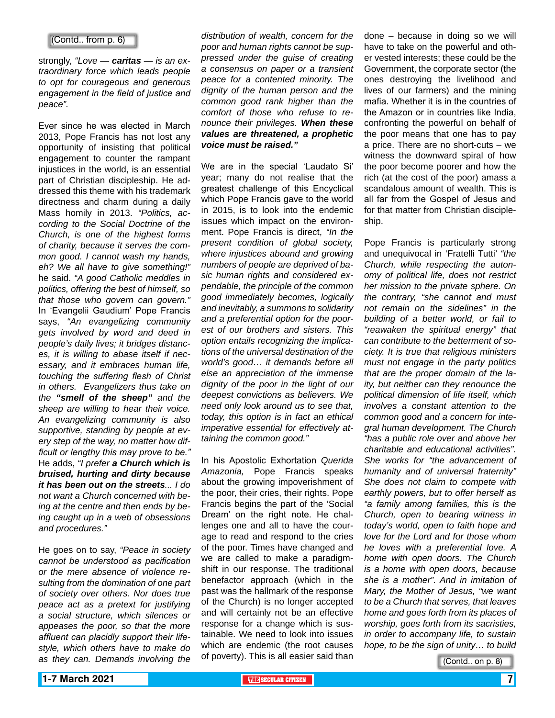# (Contd.. from p. 6)

strongly, *"Love — caritas — is an extraordinary force which leads people to opt for courageous and generous engagement in the field of justice and peace".*

Ever since he was elected in March 2013, Pope Francis has not lost any opportunity of insisting that political engagement to counter the rampant injustices in the world, is an essential part of Christian discipleship. He addressed this theme with his trademark directness and charm during a daily Mass homily in 2013. *"Politics, according to the Social Doctrine of the Church, is one of the highest forms of charity, because it serves the common good. I cannot wash my hands, eh? We all have to give something!"*  he said. *"A good Catholic meddles in politics, offering the best of himself, so that those who govern can govern."*  In 'Evangelii Gaudium' Pope Francis says, *"An evangelizing community gets involved by word and deed in people's daily lives; it bridges distances, it is willing to abase itself if necessary, and it embraces human life, touching the suffering flesh of Christ in others. Evangelizers thus take on the "smell of the sheep" and the sheep are willing to hear their voice. An evangelizing community is also supportive, standing by people at every step of the way, no matter how difficult or lengthy this may prove to be."* He adds, *"I prefer a Church which is bruised, hurting and dirty because it has been out on the streets... I do not want a Church concerned with being at the centre and then ends by being caught up in a web of obsessions and procedures."*

He goes on to say, *"Peace in society cannot be understood as pacification or the mere absence of violence resulting from the domination of one part of society over others. Nor does true peace act as a pretext for justifying a social structure, which silences or appeases the poor, so that the more affluent can placidly support their lifestyle, which others have to make do as they can. Demands involving the* 

*distribution of wealth, concern for the poor and human rights cannot be suppressed under the guise of creating a consensus on paper or a transient peace for a contented minority. The dignity of the human person and the common good rank higher than the comfort of those who refuse to renounce their privileges. When these values are threatened, a prophetic voice must be raised."*

We are in the special 'Laudato Si' year; many do not realise that the greatest challenge of this Encyclical which Pope Francis gave to the world in 2015, is to look into the endemic issues which impact on the environment. Pope Francis is direct, *"In the present condition of global society, where injustices abound and growing numbers of people are deprived of basic human rights and considered expendable, the principle of the common good immediately becomes, logically and inevitably, a summons to solidarity and a preferential option for the poorest of our brothers and sisters. This option entails recognizing the implications of the universal destination of the world's good… it demands before all else an appreciation of the immense dignity of the poor in the light of our deepest convictions as believers. We need only look around us to see that, today, this option is in fact an ethical imperative essential for effectively attaining the common good."*

In his Apostolic Exhortation *Querida Amazonia,* Pope Francis speaks about the growing impoverishment of the poor, their cries, their rights. Pope Francis begins the part of the 'Social Dream' on the right note. He challenges one and all to have the courage to read and respond to the cries of the poor. Times have changed and we are called to make a paradigmshift in our response. The traditional benefactor approach (which in the past was the hallmark of the response of the Church) is no longer accepted and will certainly not be an effective response for a change which is sustainable. We need to look into issues which are endemic (the root causes of poverty). This is all easier said than done – because in doing so we will have to take on the powerful and other vested interests; these could be the Government, the corporate sector (the ones destroying the livelihood and lives of our farmers) and the mining mafia. Whether it is in the countries of the Amazon or in countries like India, confronting the powerful on behalf of the poor means that one has to pay a price. There are no short-cuts – we witness the downward spiral of how the poor become poorer and how the rich (at the cost of the poor) amass a scandalous amount of wealth. This is all far from the Gospel of Jesus and for that matter from Christian discipleship.

Pope Francis is particularly strong and unequivocal in 'Fratelli Tutti' *"the Church, while respecting the autonomy of political life, does not restrict her mission to the private sphere. On the contrary, "she cannot and must not remain on the sidelines" in the building of a better world, or fail to "reawaken the spiritual energy" that can contribute to the betterment of society. It is true that religious ministers must not engage in the party politics that are the proper domain of the laity, but neither can they renounce the political dimension of life itself, which involves a constant attention to the common good and a concern for integral human development. The Church "has a public role over and above her charitable and educational activities". She works for "the advancement of humanity and of universal fraternity" She does not claim to compete with earthly powers, but to offer herself as "a family among families, this is the Church, open to bearing witness in today's world, open to faith hope and love for the Lord and for those whom he loves with a preferential love. A home with open doors. The Church is a home with open doors, because she is a mother". And in imitation of Mary, the Mother of Jesus, "we want to be a Church that serves, that leaves home and goes forth from its places of worship, goes forth from its sacristies, in order to accompany life, to sustain hope, to be the sign of unity… to build* 

(Contd.. on p. 8)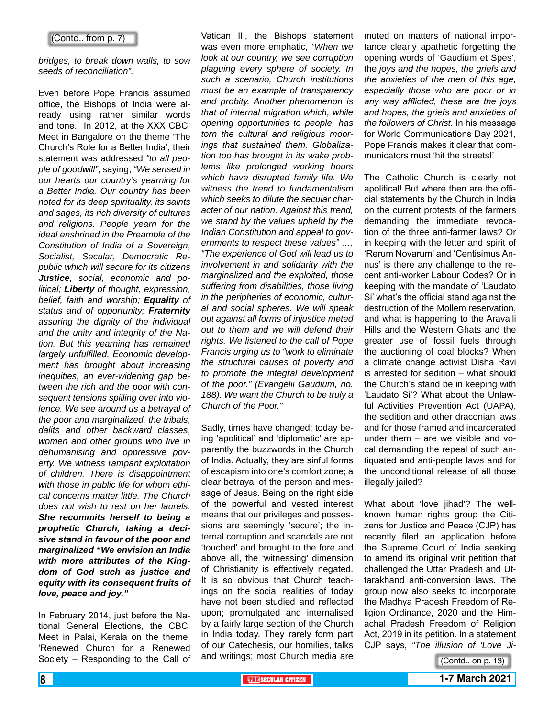## (Contd.. from p. 7)

*bridges, to break down walls, to sow seeds of reconciliation".* 

Even before Pope Francis assumed office, the Bishops of India were already using rather similar words and tone. In 2012, at the XXX CBCI Meet in Bangalore on the theme 'The Church's Role for a Better India', their statement was addressed *"to all people of goodwill"*, saying, *"We sensed in our hearts our country's yearning for a Better India. Our country has been noted for its deep spirituality, its saints and sages, its rich diversity of cultures and religions. People yearn for the ideal enshrined in the Preamble of the Constitution of India of a Sovereign, Socialist, Secular, Democratic Republic which will secure for its citizens Justice, social, economic and political; Liberty of thought, expression, belief, faith and worship; Equality of status and of opportunity; Fraternity assuring the dignity of the individual and the unity and integrity of the Nation. But this yearning has remained largely unfulfilled. Economic development has brought about increasing inequities, an ever-widening gap between the rich and the poor with consequent tensions spilling over into violence. We see around us a betrayal of the poor and marginalized, the tribals, dalits and other backward classes, women and other groups who live in dehumanising and oppressive poverty. We witness rampant exploitation of children. There is disappointment with those in public life for whom ethical concerns matter little. The Church does not wish to rest on her laurels. She recommits herself to being a prophetic Church, taking a decisive stand in favour of the poor and marginalized "We envision an India with more attributes of the Kingdom of God such as justice and equity with its consequent fruits of love, peace and joy."*

In February 2014, just before the National General Elections, the CBCI Meet in Palai, Kerala on the theme, 'Renewed Church for a Renewed Society – Responding to the Call of Vatican II', the Bishops statement was even more emphatic, *"When we look at our country, we see corruption plaguing every sphere of society. In such a scenario, Church institutions must be an example of transparency and probity. Another phenomenon is that of internal migration which, while opening opportunities to people, has torn the cultural and religious moorings that sustained them. Globalization too has brought in its wake problems like prolonged working hours which have disrupted family life. We witness the trend to fundamentalism which seeks to dilute the secular character of our nation. Against this trend, we stand by the values upheld by the Indian Constitution and appeal to governments to respect these values" …. "The experience of God will lead us to involvement in and solidarity with the marginalized and the exploited, those suffering from disabilities, those living in the peripheries of economic, cultural and social spheres. We will speak out against all forms of injustice meted out to them and we will defend their rights. We listened to the call of Pope Francis urging us to "work to eliminate the structural causes of poverty and to promote the integral development of the poor." (Evangelii Gaudium, no. 188). We want the Church to be truly a Church of the Poor."*

Sadly, times have changed; today being 'apolitical' and 'diplomatic' are apparently the buzzwords in the Church of India. Actually, they are sinful forms of escapism into one's comfort zone; a clear betrayal of the person and message of Jesus. Being on the right side of the powerful and vested interest means that our privileges and possessions are seemingly 'secure'; the internal corruption and scandals are not 'touched' and brought to the fore and above all, the 'witnessing' dimension of Christianity is effectively negated. It is so obvious that Church teachings on the social realities of today have not been studied and reflected upon; promulgated and internalised by a fairly large section of the Church in India today. They rarely form part of our Catechesis, our homilies, talks and writings; most Church media are muted on matters of national importance clearly apathetic forgetting the opening words of 'Gaudium et Spes', the *joys and the hopes, the griefs and the anxieties of the men of this age, especially those who are poor or in any way afflicted, these are the joys and hopes, the griefs and anxieties of the followers of Christ.* In his message for World Communications Day 2021, Pope Francis makes it clear that communicators must 'hit the streets!'

The Catholic Church is clearly not apolitical! But where then are the official statements by the Church in India on the current protests of the farmers demanding the immediate revocation of the three anti-farmer laws? Or in keeping with the letter and spirit of 'Rerum Novarum' and 'Centisimus Annus' is there any challenge to the recent anti-worker Labour Codes? Or in keeping with the mandate of 'Laudato Si' what's the official stand against the destruction of the Mollem reservation, and what is happening to the Aravalli Hills and the Western Ghats and the greater use of fossil fuels through the auctioning of coal blocks? When a climate change activist Disha Ravi is arrested for sedition – what should the Church's stand be in keeping with 'Laudato Si'? What about the Unlawful Activities Prevention Act (UAPA), the sedition and other draconian laws and for those framed and incarcerated under them – are we visible and vocal demanding the repeal of such antiquated and anti-people laws and for the unconditional release of all those illegally jailed?

What about 'love jihad'? The wellknown human rights group the Citizens for Justice and Peace (CJP) has recently filed an application before the Supreme Court of India seeking to amend its original writ petition that challenged the Uttar Pradesh and Uttarakhand anti-conversion laws. The group now also seeks to incorporate the Madhya Pradesh Freedom of Religion Ordinance, 2020 and the Himachal Pradesh Freedom of Religion Act, 2019 in its petition. In a statement CJP says, *"The illusion of 'Love Ji-*

(Contd.. on p. 13)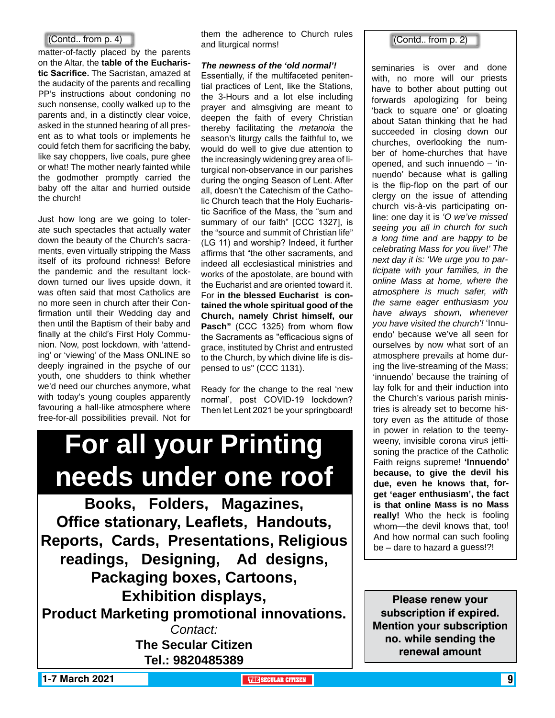# (Contd.. from p. 4)

matter-of-factly placed by the parents on the Altar, the **table of the Eucharistic Sacrifice.** The Sacristan, amazed at the audacity of the parents and recalling PP's instructions about condoning no such nonsense, coolly walked up to the parents and, in a distinctly clear voice, asked in the stunned hearing of all present as to what tools or implements he could fetch them for sacrificing the baby, like say choppers, live coals, pure ghee or what! The mother nearly fainted while the godmother promptly carried the baby off the altar and hurried outside the church!

Just how long are we going to tolerate such spectacles that actually water down the beauty of the Church's sacraments, even virtually stripping the Mass itself of its profound richness! Before the pandemic and the resultant lockdown turned our lives upside down, it was often said that most Catholics are no more seen in church after their Confirmation until their Wedding day and then until the Baptism of their baby and finally at the child's First Holy Communion. Now, post lockdown, with 'attending' or 'viewing' of the Mass ONLINE so deeply ingrained in the psyche of our youth, one shudders to think whether we'd need our churches anymore, what with today's young couples apparently favouring a hall-like atmosphere where free-for-all possibilities prevail. Not for

them the adherence to Church rules and liturgical norms!

## *The newness of the 'old normal'!*

Essentially, if the multifaceted penitential practices of Lent, like the Stations, the 3-Hours and a lot else including prayer and almsgiving are meant to deepen the faith of every Christian thereby facilitating the *metanoia* the season's liturgy calls the faithful to, we would do well to give due attention to the increasingly widening grey area of liturgical non-observance in our parishes during the onging Season of Lent. After all, doesn't the Catechism of the Catholic Church teach that the Holy Eucharistic Sacrifice of the Mass, the "sum and summary of our faith" [CCC 1327], is the "source and summit of Christian life" (LG 11) and worship? Indeed, it further affirms that "the other sacraments, and indeed all ecclesiastical ministries and works of the apostolate, are bound with the Eucharist and are oriented toward it. For **in the blessed Eucharist is contained the whole spiritual good of the Church, namely Christ himself, our Pasch"** (CCC 1325) from whom flow the Sacraments as "efficacious signs of grace, instituted by Christ and entrusted to the Church, by which divine life is dispensed to us" (CCC 1131).

Ready for the change to the real 'new normal', post COVID-19 lockdown? Then let Lent 2021 be your springboard!

# **For all your Printing needs under one roof**

**Books, Folders, Magazines, Office stationary, Leaflets, Handouts, Reports, Cards, Presentations, Religious readings, Designing, Ad designs, Packaging boxes, Cartoons, Exhibition displays, Product Marketing promotional innovations.** *Contact:* **The Secular Citizen Tel.: 9820485389**

# (Contd.. from p. 2)

seminaries is over and done with, no more will our priests have to bother about putting out forwards apologizing for being 'back to square one' or gloating about Satan thinking that he had succeeded in closing down our churches, overlooking the number of home-churches that have opened, and such innuendo – 'innuendo' because what is galling is the flip-flop on the part of our clergy on the issue of attending church vis-à-vis participating online: one day it is *'O we've missed seeing you all in church for such a long time and are happy to be celebrating Mass for you live!' The next day it is: 'We urge you to participate with your families, in the online Mass at home, where the atmosphere is much safer, with the same eager enthusiasm you have always shown, whenever you have visited the church'!* 'Innuendo' because we've all seen for ourselves by now what sort of an atmosphere prevails at home during the live-streaming of the Mass; 'innuendo' because the training of lay folk for and their induction into the Church's various parish ministries is already set to become history even as the attitude of those in power in relation to the teenyweeny, invisible corona virus jettisoning the practice of the Catholic Faith reigns supreme! **'Innuendo' because, to give the devil his due, even he knows that, forget 'eager enthusiasm', the fact is that online Mass is no Mass really!** Who the heck is fooling whom—the devil knows that, too! And how normal can such fooling be – dare to hazard a guess!?!

**Please renew your subscription if expired. Mention your subscription no. while sending the renewal amount**

**1-7 March 2021 THE THE THE THE SECULAR CITIZEN 1 THE SECULAR CITIZEN 1 THE SECULAR CITIZEN 9**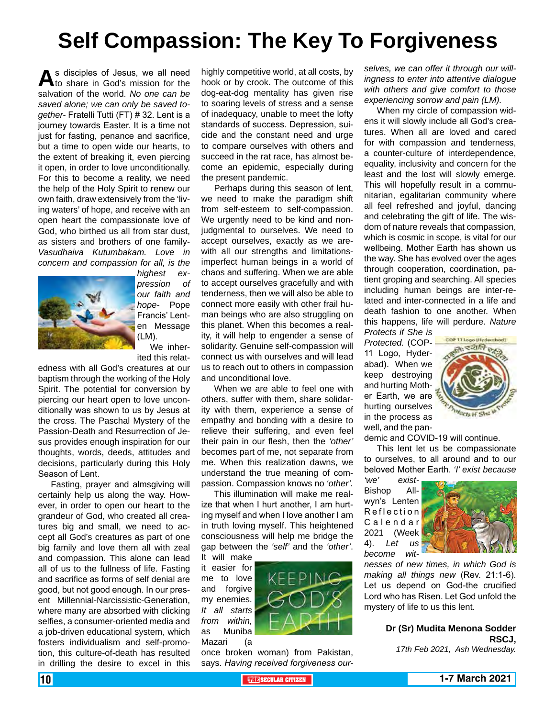# **Self Compassion: The Key To Forgiveness**

As disciples of Jesus, we all need<br>to share in God's mission for the salvation of the world. *No one can be saved alone; we can only be saved together-* Fratelli Tutti (FT) # 32. Lent is a journey towards Easter. It is a time not just for fasting, penance and sacrifice, but a time to open wide our hearts, to the extent of breaking it, even piercing it open, in order to love unconditionally. For this to become a reality, we need the help of the Holy Spirit to renew our own faith, draw extensively from the 'living waters' of hope, and receive with an open heart the compassionate love of God, who birthed us all from star dust, as sisters and brothers of one family-*Vasudhaiva Kutumbakam. Love in concern and compassion for all, is the* 



*highest expression of our faith and hope-* Pope Francis' Lenten Message (LM).

We inherited this relat-

edness with all God's creatures at our baptism through the working of the Holy Spirit. The potential for conversion by piercing our heart open to love unconditionally was shown to us by Jesus at the cross. The Paschal Mystery of the Passion-Death and Resurrection of Jesus provides enough inspiration for our thoughts, words, deeds, attitudes and decisions, particularly during this Holy Season of Lent.

Fasting, prayer and almsgiving will certainly help us along the way. However, in order to open our heart to the grandeur of God, who created all creatures big and small, we need to accept all God's creatures as part of one big family and love them all with zeal and compassion. This alone can lead all of us to the fullness of life. Fasting and sacrifice as forms of self denial are good, but not good enough. In our present Millennial-Narcissistic-Generation, where many are absorbed with clicking selfies, a consumer-oriented media and a job-driven educational system, which fosters individualism and self-promotion, this culture-of-death has resulted in drilling the desire to excel in this

highly competitive world, at all costs, by hook or by crook. The outcome of this dog-eat-dog mentality has given rise to soaring levels of stress and a sense of inadequacy, unable to meet the lofty standards of success. Depression, suicide and the constant need and urge to compare ourselves with others and succeed in the rat race, has almost become an epidemic, especially during the present pandemic.

Perhaps during this season of lent, we need to make the paradigm shift from self-esteem to self-compassion. We urgently need to be kind and nonjudgmental to ourselves. We need to accept ourselves, exactly as we arewith all our strengths and limitationsimperfect human beings in a world of chaos and suffering. When we are able to accept ourselves gracefully and with tenderness, then we will also be able to connect more easily with other frail human beings who are also struggling on this planet. When this becomes a reality, it will help to engender a sense of solidarity. Genuine self-compassion will connect us with ourselves and will lead us to reach out to others in compassion and unconditional love.

When we are able to feel one with others, suffer with them, share solidarity with them, experience a sense of empathy and bonding with a desire to relieve their suffering, and even feel their pain in our flesh, then the *'other'* becomes part of me, not separate from me. When this realization dawns, we understand the true meaning of compassion. Compassion knows no *'other'.*

This illumination will make me realize that when I hurt another, I am hurting myself and when I love another I am in truth loving myself. This heightened consciousness will help me bridge the gap between the *'self'* and the *'other'*. It will make

it easier for me to love and forgive my enemies. *It all starts from within,* as Muniba Mazari (a



once broken woman) from Pakistan, says. *Having received forgiveness our-* *selves, we can offer it through our willingness to enter into attentive dialogue with others and give comfort to those experiencing sorrow and pain (LM).*

When my circle of compassion widens it will slowly include all God's creatures. When all are loved and cared for with compassion and tenderness, a counter-culture of interdependence, equality, inclusivity and concern for the least and the lost will slowly emerge. This will hopefully result in a communitarian, egalitarian community where all feel refreshed and joyful, dancing and celebrating the gift of life. The wisdom of nature reveals that compassion, which is cosmic in scope, is vital for our wellbeing. Mother Earth has shown us the way. She has evolved over the ages through cooperation, coordination, patient groping and searching. All species including human beings are inter-related and inter-connected in a life and death fashion to one another. When this happens, life will perdure. *Nature Protects if She is* 

*Protected.* (COP-11 Logo, Hyderabad). When we keep destroying and hurting Mother Earth, we are hurting ourselves in the process as well, and the pan-



demic and COVID-19 will continue.

This lent let us be compassionate to ourselves, to all around and to our beloved Mother Earth. *'I' exist because* 

*'we' exist-*Bishop Allwyn's Lenten Reflection C a l e n d a r 2021 (Week 4). *Let us become wit-*



*nesses of new times, in which God is making all things new* (Rev. 21:1-6). Let us depend on God-the crucified Lord who has Risen. Let God unfold the mystery of life to us this lent.

# **Dr (Sr) Mudita Menona Sodder RSCJ,**

*17th Feb 2021, Ash Wednesday.*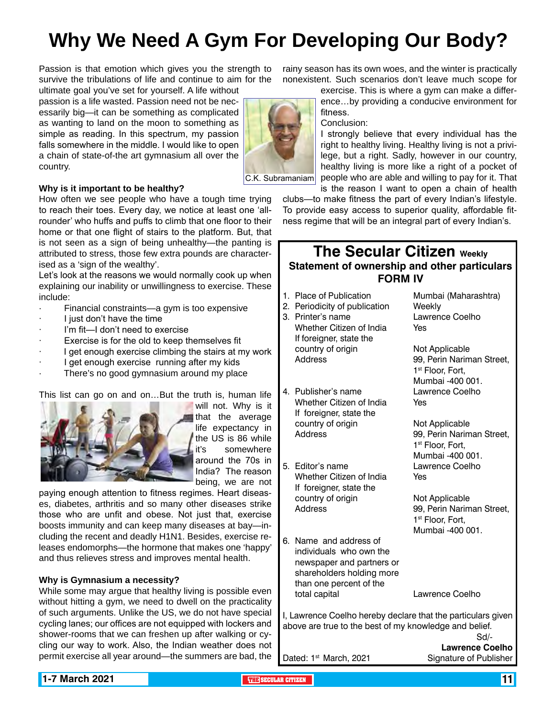# **Why We Need A Gym For Developing Our Body?**

Passion is that emotion which gives you the strength to survive the tribulations of life and continue to aim for the

ultimate goal you've set for yourself. A life without passion is a life wasted. Passion need not be necessarily big—it can be something as complicated as wanting to land on the moon to something as simple as reading. In this spectrum, my passion falls somewhere in the middle. I would like to open a chain of state-of-the art gymnasium all over the country.



**Why is it important to be healthy?**

How often we see people who have a tough time trying to reach their toes. Every day, we notice at least one 'allrounder' who huffs and puffs to climb that one floor to their home or that one flight of stairs to the platform. But, that is not seen as a sign of being unhealthy—the panting is attributed to stress, those few extra pounds are characterised as a 'sign of the wealthy'.

Let's look at the reasons we would normally cook up when explaining our inability or unwillingness to exercise. These include:

- · Financial constraints—a gym is too expensive
- · I just don't have the time
- I'm fit-I don't need to exercise
- Exercise is for the old to keep themselves fit
- I get enough exercise climbing the stairs at my work
- I get enough exercise running after my kids
- There's no good gymnasium around my place

This list can go on and on…But the truth is, human life



will not. Why is it that the average life expectancy in the US is 86 while it's somewhere around the 70s in India? The reason being, we are not

paying enough attention to fitness regimes. Heart diseases, diabetes, arthritis and so many other diseases strike those who are unfit and obese. Not just that, exercise boosts immunity and can keep many diseases at bay—including the recent and deadly H1N1. Besides, exercise releases endomorphs—the hormone that makes one 'happy' and thus relieves stress and improves mental health.

# **Why is Gymnasium a necessity?**

While some may argue that healthy living is possible even without hitting a gym, we need to dwell on the practicality of such arguments. Unlike the US, we do not have special cycling lanes; our offices are not equipped with lockers and shower-rooms that we can freshen up after walking or cycling our way to work. Also, the Indian weather does not permit exercise all year around—the summers are bad, the

rainy season has its own woes, and the winter is practically nonexistent. Such scenarios don't leave much scope for

exercise. This is where a gym can make a difference…by providing a conducive environment for fitness.

Conclusion:

I strongly believe that every individual has the right to healthy living. Healthy living is not a privilege, but a right. Sadly, however in our country, healthy living is more like a right of a pocket of people who are able and willing to pay for it. That is the reason I want to open a chain of health

clubs—to make fitness the part of every Indian's lifestyle. To provide easy access to superior quality, affordable fitness regime that will be an integral part of every Indian's.

# **The Secular Citizen Weekly Statement of ownership and other particulars FORM IV**

- 1. Place of Publication Mumbai (Maharashtra)
- 2. Periodicity of publication Weekly
- 3. Printer's name Lawrence Coelho Whether Citizen of India Yes If foreigner, state the country of origin Not Applicable Address 99, Perin Nariman Street,
- 4. Publisher's name Lawrence Coelho Whether Citizen of India Yes If foreigner, state the country of origin Not Applicable Address 99, Perin Nariman Street,
- 5. Editor's name Lawrence Coelho Whether Citizen of India Yes If foreigner, state the country of origin Not Applicable Address 99, Perin Nariman Street,
- 6. Name and address of individuals who own the newspaper and partners or shareholders holding more than one percent of the total capital Lawrence Coelho

1st Floor, Fort, Mumbai -400 001.

1<sup>st</sup> Floor, Fort, Mumbai -400 001.

1st Floor, Fort, Mumbai -400 001.

I, Lawrence Coelho hereby declare that the particulars given above are true to the best of my knowledge and belief. Sd/-

**Lawrence Coelho** Dated: 1<sup>st</sup> March, 2021 Signature of Publisher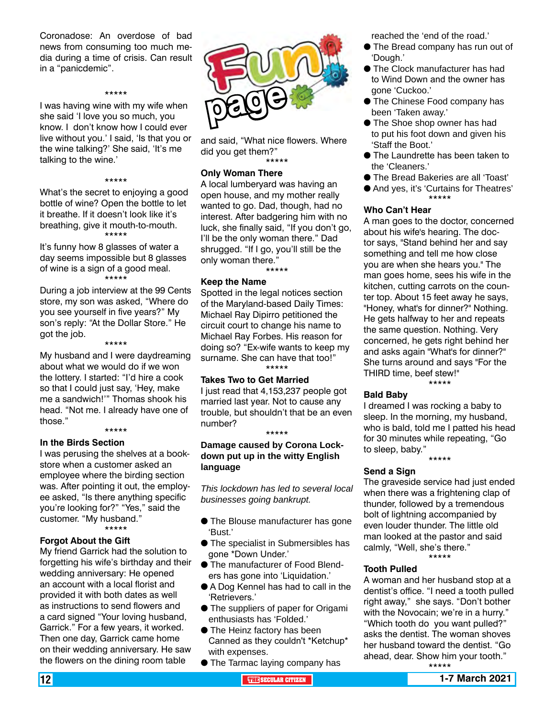Coronadose: An overdose of bad news from consuming too much media during a time of crisis. Can result in a "panicdemic".

### \*\*\*\*\*

I was having wine with my wife when she said 'I love you so much, you know. I don't know how I could ever live without you.' I said, 'Is that you or the wine talking?' She said, 'It's me talking to the wine.'

### \*\*\*\*\*

What's the secret to enjoying a good bottle of wine? Open the bottle to let it breathe. If it doesn't look like it's breathing, give it mouth-to-mouth. \*\*\*\*\*

It's funny how 8 glasses of water a day seems impossible but 8 glasses of wine is a sign of a good meal. \*\*\*\*\*

During a job interview at the 99 Cents store, my son was asked, "Where do you see yourself in five years?" My son's reply: "At the Dollar Store." He got the job.

\*\*\*\*\*

My husband and I were daydreaming about what we would do if we won the lottery. I started: "I'd hire a cook so that I could just say, 'Hey, make me a sandwich!'" Thomas shook his head. "Not me. I already have one of those."

# \*\*\*\*\*

**In the Birds Section** I was perusing the shelves at a bookstore when a customer asked an employee where the birding section was. After pointing it out, the employee asked, "Is there anything specific you're looking for?" "Yes," said the customer. "My husband." \*\*\*\*\*

**Forgot About the Gift**

My friend Garrick had the solution to forgetting his wife's birthday and their wedding anniversary: He opened an account with a local florist and provided it with both dates as well as instructions to send flowers and a card signed "Your loving husband, Garrick." For a few years, it worked. Then one day, Garrick came home on their wedding anniversary. He saw the flowers on the dining room table



and said, "What nice flowers. Where did you get them?" \*\*\*\*\*

### **Only Woman There**

A local lumberyard was having an open house, and my mother really wanted to go. Dad, though, had no interest. After badgering him with no luck, she finally said, "If you don't go, I'll be the only woman there." Dad shrugged. "If I go, you'll still be the only woman there."

\*\*\*\*\*

## **Keep the Name**

Spotted in the legal notices section of the Maryland-based Daily Times: Michael Ray Dipirro petitioned the circuit court to change his name to Michael Ray Forbes. His reason for doing so? "Ex-wife wants to keep my surname. She can have that too!" \*\*\*\*\*

# **Takes Two to Get Married**

I just read that 4,153,237 people got married last year. Not to cause any trouble, but shouldn't that be an even number?

\*\*\*\*\*

**Damage caused by Corona Lockdown put up in the witty English language**

*This lockdown has led to several local businesses going bankrupt.*

- **The Blouse manufacturer has gone** 'Bust.'
- **The specialist in Submersibles has** gone \*Down Under.'
- **The manufacturer of Food Blend**ers has gone into 'Liquidation.'
- A Dog Kennel has had to call in the 'Retrievers.'
- **The suppliers of paper for Origami** enthusiasts has 'Folded.'
- **The Heinz factory has been** Canned as they couldn't \*Ketchup\* with expenses.
- **The Tarmac laying company has**

reached the 'end of the road.'

- The Bread company has run out of 'Dough.'
- The Clock manufacturer has had to Wind Down and the owner has gone 'Cuckoo.'
- **The Chinese Food company has** been 'Taken away.'
- **The Shoe shop owner has had** to put his foot down and given his 'Staff the Boot.'
- **The Laundrette has been taken to** the 'Cleaners.'
- The Bread Bakeries are all 'Toast'
- And yes, it's 'Curtains for Theatres' \*\*\*\*\*

## **Who Can't Hear**

A man goes to the doctor, concerned about his wife's hearing. The doctor says, "Stand behind her and say something and tell me how close you are when she hears you." The man goes home, sees his wife in the kitchen, cutting carrots on the counter top. About 15 feet away he says, "Honey, what's for dinner?" Nothing. He gets halfway to her and repeats the same question. Nothing. Very concerned, he gets right behind her and asks again "What's for dinner?" She turns around and says "For the THIRD time, beef stew!" \*\*\*\*\*

### **Bald Baby**

I dreamed I was rocking a baby to sleep. In the morning, my husband, who is bald, told me I patted his head for 30 minutes while repeating, "Go to sleep, baby."

\*\*\*\*\*

## **Send a Sign**

The graveside service had just ended when there was a frightening clap of thunder, followed by a tremendous bolt of lightning accompanied by even louder thunder. The little old man looked at the pastor and said calmly, "Well, she's there." \*\*\*\*\*

## **Tooth Pulled**

A woman and her husband stop at a dentist's office. "I need a tooth pulled right away," she says. "Don't bother with the Novocain; we're in a hurry." "Which tooth do you want pulled?" asks the dentist. The woman shoves her husband toward the dentist. "Go ahead, dear. Show him your tooth." \*\*\*\*\*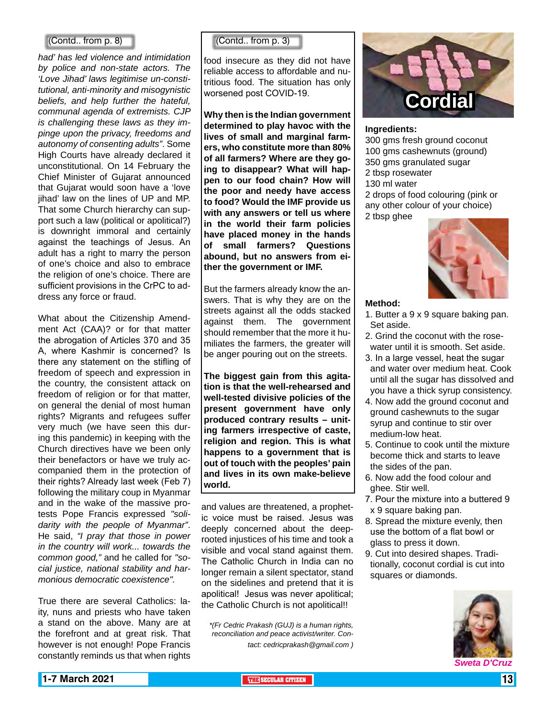# (Contd.. from p. 8)

*had' has led violence and intimidation by police and non-state actors. The 'Love Jihad' laws legitimise un-constitutional, anti-minority and misogynistic beliefs, and help further the hateful, communal agenda of extremists. CJP is challenging these laws as they impinge upon the privacy, freedoms and autonomy of consenting adults"*. Some High Courts have already declared it unconstitutional. On 14 February the Chief Minister of Gujarat announced that Gujarat would soon have a 'love jihad' law on the lines of UP and MP. That some Church hierarchy can support such a law (political or apolitical?) is downright immoral and certainly against the teachings of Jesus. An adult has a right to marry the person of one's choice and also to embrace the religion of one's choice. There are sufficient provisions in the CrPC to address any force or fraud.

What about the Citizenship Amendment Act (CAA)? or for that matter the abrogation of Articles 370 and 35 A, where Kashmir is concerned? Is there any statement on the stifling of freedom of speech and expression in the country, the consistent attack on freedom of religion or for that matter, on general the denial of most human rights? Migrants and refugees suffer very much (we have seen this during this pandemic) in keeping with the Church directives have we been only their benefactors or have we truly accompanied them in the protection of their rights? Already last week (Feb 7) following the military coup in Myanmar and in the wake of the massive protests Pope Francis expressed *"solidarity with the people of Myanmar"*. He said, *"I pray that those in power in the country will work... towards the common good,"* and he called for *"social justice, national stability and harmonious democratic coexistence".*

True there are several Catholics: laity, nuns and priests who have taken a stand on the above. Many are at the forefront and at great risk. That however is not enough! Pope Francis constantly reminds us that when rights

(Contd.. from p. 3)

food insecure as they did not have reliable access to affordable and nutritious food. The situation has only worsened post COVID-19.

**Why then is the Indian government determined to play havoc with the lives of small and marginal farmers, who constitute more than 80% of all farmers? Where are they going to disappear? What will happen to our food chain? How will the poor and needy have access to food? Would the IMF provide us with any answers or tell us where in the world their farm policies have placed money in the hands of small farmers? Questions abound, but no answers from either the government or IMF.** 

But the farmers already know the answers. That is why they are on the streets against all the odds stacked against them. The government should remember that the more it humiliates the farmers, the greater will be anger pouring out on the streets.

**The biggest gain from this agitation is that the well-rehearsed and well-tested divisive policies of the present government have only produced contrary results – uniting farmers irrespective of caste, religion and region. This is what happens to a government that is out of touch with the peoples' pain and lives in its own make-believe world.**

and values are threatened, a prophetic voice must be raised. Jesus was deeply concerned about the deeprooted injustices of his time and took a visible and vocal stand against them. The Catholic Church in India can no longer remain a silent spectator, stand on the sidelines and pretend that it is apolitical! Jesus was never apolitical; the Catholic Church is not apolitical!!

*\*(Fr Cedric Prakash (GUJ) is a human rights, reconciliation and peace activist/writer. Contact: cedricprakash@gmail.com )*



### **Ingredients:**

300 gms fresh ground coconut 100 gms cashewnuts (ground) 350 gms granulated sugar 2 tbsp rosewater 130 ml water 2 drops of food colouring (pink or any other colour of your choice) 2 tbsp ghee



## **Method:**

- 1. Butter a 9 x 9 square baking pan. Set aside.
- 2. Grind the coconut with the rosewater until it is smooth. Set aside.
- 3. In a large vessel, heat the sugar and water over medium heat. Cook until all the sugar has dissolved and you have a thick syrup consistency.
- 4. Now add the ground coconut and ground cashewnuts to the sugar syrup and continue to stir over medium-low heat.
- 5. Continue to cook until the mixture become thick and starts to leave the sides of the pan.
- 6. Now add the food colour and ghee. Stir well.
- 7. Pour the mixture into a buttered 9 x 9 square baking pan.
- 8. Spread the mixture evenly, then use the bottom of a flat bowl or glass to press it down.
- 9. Cut into desired shapes. Traditionally, coconut cordial is cut into squares or diamonds.

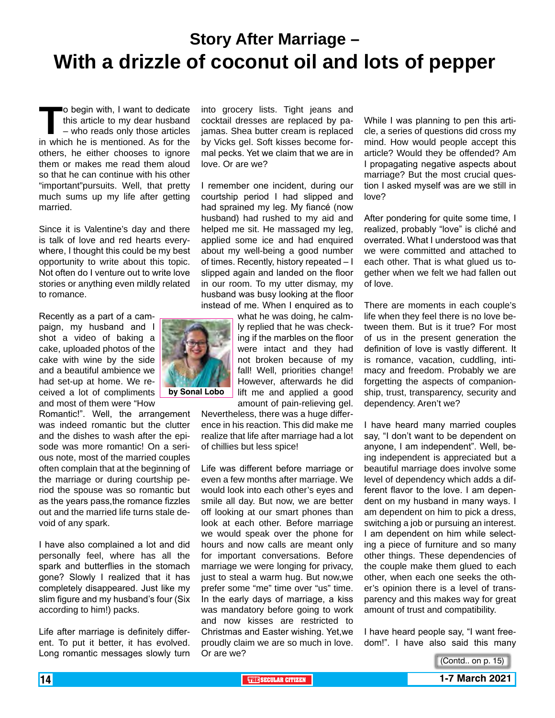# **Story After Marriage – With a drizzle of coconut oil and lots of pepper**

**The Structure of the Structure of this article to my dear husband – who reads only those articles<br>in which he is mentioned. As for the** this article to my dear husband – who reads only those articles in which he is mentioned. As for the others, he either chooses to ignore them or makes me read them aloud so that he can continue with his other "important"pursuits. Well, that pretty much sums up my life after getting married.

Since it is Valentine's day and there is talk of love and red hearts everywhere, I thought this could be my best opportunity to write about this topic. Not often do I venture out to write love stories or anything even mildly related to romance.

Recently as a part of a campaign, my husband and I shot a video of baking a cake, uploaded photos of the cake with wine by the side and a beautiful ambience we had set-up at home. We received a lot of compliments and most of them were "How

Romantic!". Well, the arrangement was indeed romantic but the clutter and the dishes to wash after the episode was more romantic! On a serious note, most of the married couples often complain that at the beginning of the marriage or during courtship period the spouse was so romantic but as the years pass,the romance fizzles out and the married life turns stale devoid of any spark.

I have also complained a lot and did personally feel, where has all the spark and butterflies in the stomach gone? Slowly I realized that it has completely disappeared. Just like my slim figure and my husband's four (Six according to him!) packs.

Life after marriage is definitely different. To put it better, it has evolved. Long romantic messages slowly turn

into grocery lists. Tight jeans and cocktail dresses are replaced by pajamas. Shea butter cream is replaced by Vicks gel. Soft kisses become formal pecks. Yet we claim that we are in love. Or are we?

I remember one incident, during our courtship period I had slipped and had sprained my leg. My fiancé (now husband) had rushed to my aid and helped me sit. He massaged my leg, applied some ice and had enquired about my well-being a good number of times. Recently, history repeated – I slipped again and landed on the floor in our room. To my utter dismay, my husband was busy looking at the floor instead of me. When I enquired as to

> what he was doing, he calmly replied that he was checking if the marbles on the floor were intact and they had not broken because of my fall! Well, priorities change! However, afterwards he did lift me and applied a good amount of pain-relieving gel.

Nevertheless, there was a huge difference in his reaction. This did make me realize that life after marriage had a lot of chillies but less spice!

Life was different before marriage or even a few months after marriage. We would look into each other's eyes and smile all day. But now, we are better off looking at our smart phones than look at each other. Before marriage we would speak over the phone for hours and now calls are meant only for important conversations. Before marriage we were longing for privacy, just to steal a warm hug. But now,we prefer some "me" time over "us" time. In the early days of marriage, a kiss was mandatory before going to work and now kisses are restricted to Christmas and Easter wishing. Yet,we proudly claim we are so much in love. Or are we?

While I was planning to pen this article, a series of questions did cross my mind. How would people accept this article? Would they be offended? Am I propagating negative aspects about marriage? But the most crucial question I asked myself was are we still in love?

After pondering for quite some time, I realized, probably "love" is cliché and overrated. What I understood was that we were committed and attached to each other. That is what glued us together when we felt we had fallen out of love.

There are moments in each couple's life when they feel there is no love between them. But is it true? For most of us in the present generation the definition of love is vastly different. It is romance, vacation, cuddling, intimacy and freedom. Probably we are forgetting the aspects of companionship, trust, transparency, security and dependency. Aren't we?

I have heard many married couples say, "I don't want to be dependent on anyone, I am independent". Well, being independent is appreciated but a beautiful marriage does involve some level of dependency which adds a different flavor to the love. I am dependent on my husband in many ways. I am dependent on him to pick a dress, switching a job or pursuing an interest. I am dependent on him while selecting a piece of furniture and so many other things. These dependencies of the couple make them glued to each other, when each one seeks the other's opinion there is a level of transparency and this makes way for great amount of trust and compatibility.

I have heard people say, "I want freedom!". I have also said this many





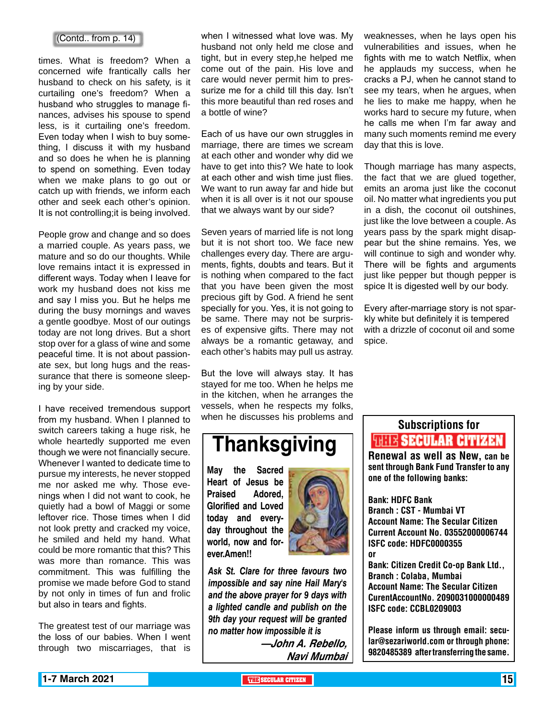## (Contd.. from p. 14)

times. What is freedom? When a concerned wife frantically calls her husband to check on his safety, is it curtailing one's freedom? When a husband who struggles to manage finances, advises his spouse to spend less, is it curtailing one's freedom. Even today when I wish to buy something, I discuss it with my husband and so does he when he is planning to spend on something. Even today when we make plans to go out or catch up with friends, we inform each other and seek each other's opinion. It is not controlling;it is being involved.

People grow and change and so does a married couple. As years pass, we mature and so do our thoughts. While love remains intact it is expressed in different ways. Today when I leave for work my husband does not kiss me and say I miss you. But he helps me during the busy mornings and waves a gentle goodbye. Most of our outings today are not long drives. But a short stop over for a glass of wine and some peaceful time. It is not about passionate sex, but long hugs and the reassurance that there is someone sleeping by your side.

I have received tremendous support from my husband. When I planned to switch careers taking a huge risk, he whole heartedly supported me even though we were not financially secure. Whenever I wanted to dedicate time to pursue my interests, he never stopped me nor asked me why. Those evenings when I did not want to cook, he quietly had a bowl of Maggi or some leftover rice. Those times when I did not look pretty and cracked my voice, he smiled and held my hand. What could be more romantic that this? This was more than romance. This was commitment. This was fulfilling the promise we made before God to stand by not only in times of fun and frolic but also in tears and fights.

The greatest test of our marriage was the loss of our babies. When I went through two miscarriages, that is

when I witnessed what love was. My husband not only held me close and tight, but in every step,he helped me come out of the pain. His love and care would never permit him to pressurize me for a child till this day. Isn't this more beautiful than red roses and a bottle of wine?

Each of us have our own struggles in marriage, there are times we scream at each other and wonder why did we have to get into this? We hate to look at each other and wish time just flies. We want to run away far and hide but when it is all over is it not our spouse that we always want by our side?

Seven years of married life is not long but it is not short too. We face new challenges every day. There are arguments, fights, doubts and tears. But it is nothing when compared to the fact that you have been given the most precious gift by God. A friend he sent specially for you. Yes, it is not going to be same. There may not be surprises of expensive gifts. There may not always be a romantic getaway, and each other's habits may pull us astray.

But the love will always stay. It has stayed for me too. When he helps me in the kitchen, when he arranges the vessels, when he respects my folks, when he discusses his problems and

# **Thanksgiving**

**May the Sacred Heart of Jesus be Praised Adored, Glorified and Loved today and everyday throughout the world, now and forever.Amen!!**



*Ask St. Clare for three favours two impossible and say nine Hail Mary's and the above prayer for 9 days with a lighted candle and publish on the 9th day your request will be granted no matter how impossible it is*

> **—John A. Rebello, Navi Mumbai**

weaknesses, when he lays open his vulnerabilities and issues, when he fights with me to watch Netflix, when he applauds my success, when he cracks a PJ, when he cannot stand to see my tears, when he argues, when he lies to make me happy, when he works hard to secure my future, when he calls me when I'm far away and many such moments remind me every day that this is love.

Though marriage has many aspects, the fact that we are glued together, emits an aroma just like the coconut oil. No matter what ingredients you put in a dish, the coconut oil outshines, just like the love between a couple. As years pass by the spark might disappear but the shine remains. Yes, we will continue to sigh and wonder why. There will be fights and arguments just like pepper but though pepper is spice It is digested well by our body.

Every after-marriage story is not sparkly white but definitely it is tempered with a drizzle of coconut oil and some spice.

# Subscriptions for **RENEW SECULAR CITIZEN**<br>Renewal as well as New, can be

sent through Bank Fund Transfer to any one of the following banks:

Bank: HDFC Bank Branch : CST - Mumbai VT Account Name: The Secular Citizen Current Account No. 03552000006744 ISFC code: HDFC0000355 or Bank: Citizen Credit Co-op Bank Ltd., Branch : Colaba, Mumbai Account Name: The Secular Citizen CurentAccountNo. 2090031000000489 ISFC code: CCBL0209003

Please inform us through email: secular@sezariworld.com or through phone: 9820485389 after transferring the same.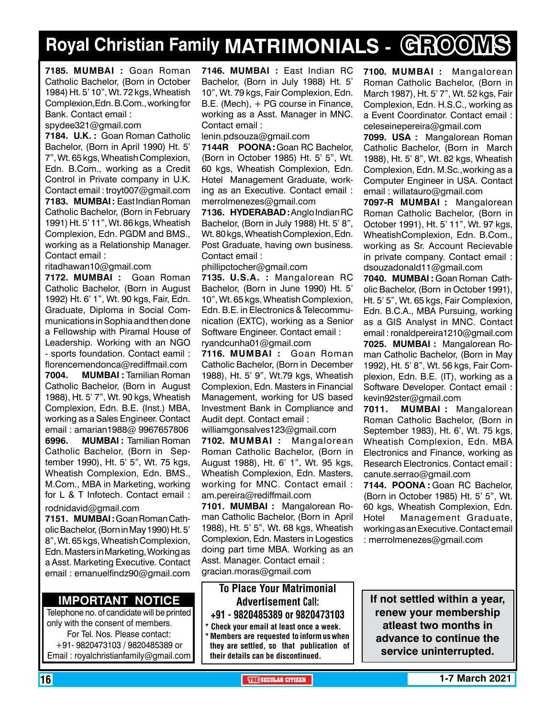# **Royal Christian Family MATRIMONIALS - GROOMS**

**7185. MUMBAI :** Goan Roman Catholic Bachelor, (Born in October 1984) Ht. 5' 10", Wt. 72 kgs, Wheatish Complexion,Edn. B.Com., working for Bank. Contact email :

spydee321@gmail.com

**7184. U.K. :** Goan Roman Catholic Bachelor, (Born in April 1990) Ht. 5' 7", Wt. 65 kgs, Wheatish Complexion, Edn. B.Com., working as a Credit Control in Private company in U.K. Contact email : troyt007@gmail.com **7183. MUMBAI :** East Indian Roman Catholic Bachelor, (Born in February 1991) Ht. 5' 11", Wt. 86 kgs, Wheatish Complexion, Edn. PGDM and BMS., working as a Relationship Manager. Contact email :

ritadhawan10@gmail.com

**7172. MUMBAI :** Goan Roman Catholic Bachelor, (Born in August 1992) Ht. 6' 1", Wt. 90 kgs, Fair, Edn. Graduate, Diploma in Social Communications in Sophia and then done a Fellowship with Piramal House of Leadership. Working with an NGO - sports foundation. Contact eamil : florencemendonca@rediffmail.com **7004. MUMBAI :** Tamilian Roman Catholic Bachelor, (Born in August 1988), Ht. 5' 7", Wt. 90 kgs, Wheatish Complexion, Edn. B.E. (Inst.) MBA, working as a Sales Engineer. Contact email : amarian1988@ 9967657806 **6996. MUMBAI :** Tamilian Roman Catholic Bachelor, (Born in September 1990), Ht. 5' 5", Wt. 75 kgs, Wheatish Complexion, Edn. BMS., M.Com., MBA in Marketing, working for L & T Infotech. Contact email : rodnidavid@gmail.com

**7151. MUMBAI :** Goan Roman Catholic Bachelor, (Born in May 1990) Ht. 5' 8", Wt. 65 kgs, Wheatish Complexion, Edn. Masters in Marketing, Working as a Asst. Marketing Executive. Contact email : emanuelfindz90@gmail.com

# **Important Notice**

Telephone no. of candidate will be printed only with the consent of members. For Tel. Nos. Please contact: +91- 9820473103 / 9820485389 or Email : royalchristianfamily@gmail.com

**7146. MUMBAI :** East Indian RC Bachelor, (Born in July 1988) Ht. 5' 10", Wt. 79 kgs, Fair Complexion, Edn. B.E. (Mech), + PG course in Finance, working as a Asst. Manager in MNC. Contact email :

lenin.pdsouza@gmail.com

**7144R POONA :** Goan RC Bachelor, (Born in October 1985) Ht. 5' 5", Wt. 60 kgs, Wheatish Complexion, Edn. Hotel Management Graduate, working as an Executive. Contact email : merrolmenezes@gmail.com

**7136. HYDERABAD:** Anglo Indian RC Bachelor, (Born in July 1988) Ht. 5' 8", Wt. 80 kgs, Wheatish Complexion, Edn. Post Graduate, having own business. Contact email :

phillipctocher@gmail.com

**7135. U.S.A. :** Mangalorean RC Bachelor, (Born in June 1990) Ht. 5' 10", Wt. 65 kgs, Wheatish Complexion, Edn. B.E. in Electronics & Telecommunication (EXTC), working as a Senior Software Engineer. Contact email : ryandcunha01@gmail.com

**7116. MUMBAI :** Goan Roman Catholic Bachelor, (Born in December 1988), Ht. 5' 9", Wt.79 kgs, Wheatish Complexion, Edn. Masters in Financial Management, working for US based Investment Bank in Compliance and Audit dept. Contact email :

williamgonsalves123@gmail.com **7102. MUMBAI :** Mangalorean Roman Catholic Bachelor, (Born in August 1988), Ht. 6' 1", Wt. 95 kgs, Wheatish Complexion, Edn. Masters, working for MNC. Contact email : am.pereira@rediffmail.com

**7101. MUMBAI :** Mangalorean Roman Catholic Bachelor, (Born in April 1988), Ht. 5' 5", Wt. 68 kgs, Wheatish Complexion, Edn. Masters in Logestics doing part time MBA. Working as an Asst. Manager. Contact email : gracian.moras@gmail.com

To Place Your Matrimonial Advertisement Call: +91 - 9820485389 or 9820473103

Check your email at least once a week. Members are requested to inform us when they are settled, so that publication of their details can be discontinued.

**7100. MUMBAI :** Mangalorean Roman Catholic Bachelor, (Born in March 1987), Ht. 5' 7", Wt. 52 kgs, Fair Complexion, Edn. H.S.C., working as a Event Coordinator. Contact email : celeseinepereira@gmail.com

**7099. USA :** Mangalorean Roman Catholic Bachelor, (Born in March 1988), Ht. 5' 8", Wt. 82 kgs, Wheatish Complexion, Edn. M.Sc.,working as a Computer Engineer in USA. Contact email : willatauro@gmail.com

**7097-R MUMBAI :** Mangalorean Roman Catholic Bachelor, (Born in October 1991), Ht. 5' 11", Wt. 97 kgs, WheatishComplexion, Edn. B.Com., working as Sr. Account Recievable in private company. Contact email : dsouzadonald11@gmail.com

**7040. MUMBAI :** Goan Roman Catholic Bachelor, (Born in October 1991), Ht. 5' 5", Wt. 65 kgs, Fair Complexion, Edn. B.C.A., MBA Pursuing, working as a GIS Analyst in MNC. Contact email : ronaldpereira1210@gmail.com

**7025. MUMBAI :** Mangalorean Roman Catholic Bachelor, (Born in May 1992), Ht. 5' 8", Wt. 56 kgs, Fair Complexion, Edn. B.E. (IT), working as a Software Developer. Contact email : kevin92ster@gmail.com

**7011. MUMBAI :** Mangalorean Roman Catholic Bachelor, (Born in September 1983), Ht. 6', Wt. 75 kgs, Wheatish Complexion, Edn. MBA Electronics and Finance, working as Research Electronics. Contact email : canute.serrao@gmail.com

**7144. POONA :** Goan RC Bachelor, (Born in October 1985) Ht. 5' 5", Wt. 60 kgs, Wheatish Complexion, Edn. Hotel Management Graduate, working as an Executive. Contact email : merrolmenezes@gmail.com

**If not settled within a year, renew your membership atleast two months in advance to continue the service uninterrupted.**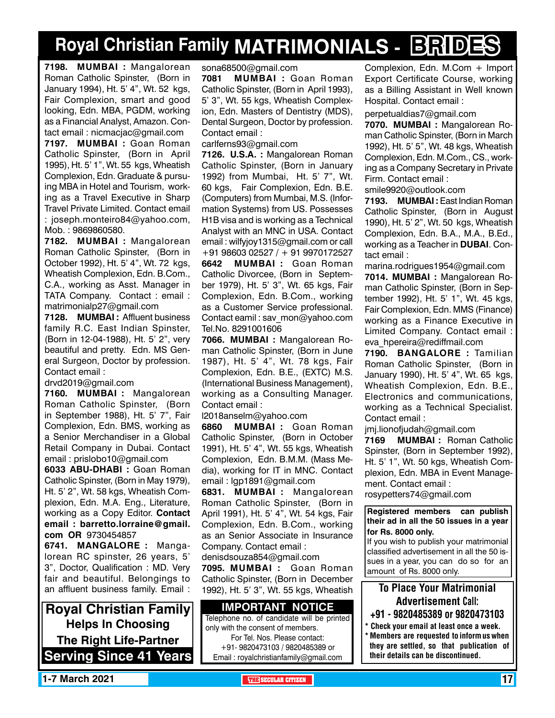# **Royal Christian Family MATRIMONIALS - BRIDES**

**7198. MUMBAI :** Mangalorean Roman Catholic Spinster, (Born in January 1994), Ht. 5' 4", Wt. 52 kgs, Fair Complexion, smart and good looking, Edn. MBA, PGDM, working as a Financial Analyst, Amazon. Contact email : nicmacjac@gmail.com

**7197. MUMBAI :** Goan Roman Catholic Spinster, (Born in April 1995), Ht. 5' 1", Wt. 55 kgs, Wheatish Complexion, Edn. Graduate & pursuing MBA in Hotel and Tourism, working as a Travel Executive in Sharp Travel Private Limited. Contact email : joseph.monteiro84@yahoo.com, Mob. : 9869860580.

**7182. MUMBAI :** Mangalorean Roman Catholic Spinster, (Born in October 1992), Ht. 5' 4", Wt. 72 kgs, Wheatish Complexion, Edn. B.Com., C.A., working as Asst. Manager in TATA Company. Contact : email : matrimonialp27@gmail.com

**7128. MUMBAI :** Affluent business family R.C. East Indian Spinster, (Born in 12-04-1988), Ht. 5' 2", very beautiful and pretty. Edn. MS General Surgeon, Doctor by profession. Contact email :

drvd2019@gmail.com

**7160. MUMBAI :** Mangalorean Roman Catholic Spinster, (Born in September 1988), Ht. 5' 7", Fair Complexion, Edn. BMS, working as a Senior Merchandiser in a Global Retail Company in Dubai. Contact email : prislobo10@gmail.com

**6033 ABU-DHABI :** Goan Roman Catholic Spinster, (Born in May 1979), Ht. 5' 2", Wt. 58 kgs, Wheatish Complexion, Edn. M.A. Eng., Literature, working as a Copy Editor. Contact email : barretto.lorraine@gmail. com OR 9730454857

**6741. MANGALORE :** Mangalorean RC spinster, 26 years, 5' 3", Doctor, Qualification : MD. Very fair and beautiful. Belongings to an affluent business family. Email :

**Royal Christian Family Helps In Choosing The Right Life-Partner Serving Since 41 Years** sona68500@gmail.com

**7081 MUMBAI :** Goan Roman Catholic Spinster, (Born in April 1993), 5' 3", Wt. 55 kgs, Wheatish Complexion, Edn. Masters of Dentistry (MDS), Dental Surgeon, Doctor by profession. Contact email :

carlferns93@gmail.com

**7126. U.S.A. :** Mangalorean Roman Catholic Spinster, (Born in January 1992) from Mumbai, Ht. 5' 7", Wt. 60 kgs, Fair Complexion, Edn. B.E. (Computers) from Mumbai, M.S. (Information Systems) from US. Possesses H1B visa and is working as a Technical Analyst with an MNC in USA. Contact email : wilfyjoy1315@gmail.com or call +91 98603 02527 / + 91 9970172527 **6642 MUMBAI :** Goan Roman Catholic Divorcee, (Born in September 1979), Ht. 5' 3", Wt. 65 kgs, Fair Complexion, Edn. B.Com., working as a Customer Service professional. Contact eamil : sav\_mon@yahoo.com Tel.No. 8291001606

**7066. MUMBAI :** Mangalorean Roman Catholic Spinster, (Born in June 1987), Ht. 5' 4", Wt. 78 kgs, Fair Complexion, Edn. B.E., (EXTC) M.S. (International Business Management), working as a Consulting Manager. Contact email :

l2018anselm@yahoo.com

**6860 MUMBAI :** Goan Roman Catholic Spinster, (Born in October 1991), Ht. 5' 4", Wt. 55 kgs, Wheatish Complexion, Edn. B.M.M. (Mass Media), working for IT in MNC. Contact email : lgp1891@gmail.com

**6831. MUMBAI :** Mangalorean Roman Catholic Spinster, (Born in April 1991), Ht. 5' 4", Wt. 54 kgs, Fair Complexion, Edn. B.Com., working as an Senior Associate in Insurance Company. Contact email :

denisdsouza854@gmail.com

**7095. MUMBAI :** Goan Roman Catholic Spinster, (Born in December 1992), Ht. 5' 3", Wt. 55 kgs, Wheatish

### **Important Notice** Telephone no. of candidate will be printed

only with the consent of members. For Tel. Nos. Please contact: +91- 9820473103 / 9820485389 or Email : royalchristianfamily@gmail.com Complexion, Edn. M.Com + Import Export Certificate Course, working as a Billing Assistant in Well known Hospital. Contact email :

perpetualdias7@gmail.com

**7070. MUMBAI :** Mangalorean Roman Catholic Spinster, (Born in March 1992), Ht. 5' 5", Wt. 48 kgs, Wheatish Complexion, Edn. M.Com., CS., working as a Company Secretary in Private Firm. Contact email :

smile9920@outlook.com

**7193. MUMBAI :** East Indian Roman Catholic Spinster, (Born in August 1990), Ht. 5' 2", Wt. 50 kgs, Wheatish Complexion, Edn. B.A., M.A., B.Ed., working as a Teacher in **Dubai**. Contact email :

marina.rodrigues1954@gmail.com **7014. MUMBAI :** Mangalorean Roman Catholic Spinster, (Born in September 1992), Ht. 5' 1", Wt. 45 kgs, Fair Complexion, Edn. MMS (Finance) working as a Finance Executive in Limited Company. Contact email : eva\_hpereira@rediffmail.com

**7190. BANGALORE :** Tamilian Roman Catholic Spinster, (Born in January 1990), Ht. 5' 4", Wt. 65 kgs, Wheatish Complexion, Edn. B.E., Electronics and communications, working as a Technical Specialist. Contact email :

jmj.lionofjudah@gmail.com

**7169 MUMBAI :** Roman Catholic Spinster, (Born in September 1992), Ht. 5' 1", Wt. 50 kgs, Wheatish Complexion, Edn. MBA in Event Management. Contact email :

rosypetters74@gmail.com

**Registered members can publish their ad in all the 50 issues in a year for Rs. 8000 only.**

If you wish to publish your matrimonial classified advertisement in all the 50 issues in a year, you can do so for an amount of Rs. 8000 only.

# To Place Your Matrimonial Advertisement Call:

- +91 9820485389 or 9820473103
- Check your email at least once a week. \* Members are requested to inform us when they are settled, so that publication of their details can be discontinued.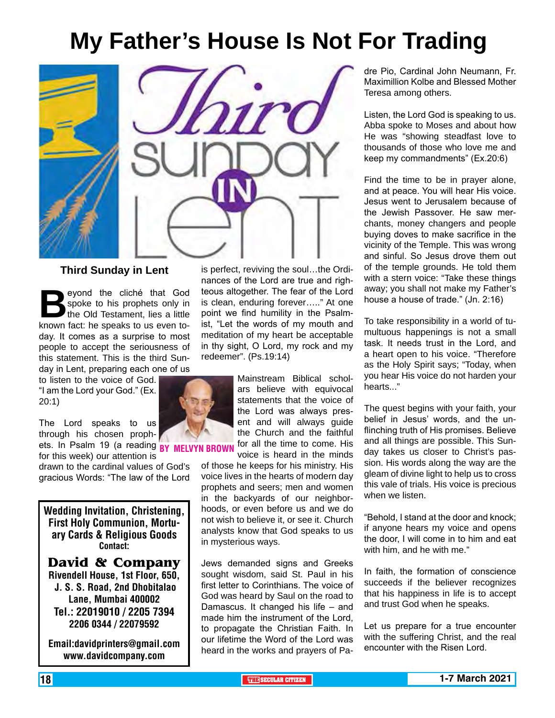# **My Father's House Is Not For Trading**



# **Third Sunday in Lent**

**Beyond the cliché that God spoke to his prophets only in the Old Testament, lies a little known fact: he speaks to us even to**spoke to his prophets only in the Old Testament, lies a little day. It comes as a surprise to most people to accept the seriousness of this statement. This is the third Sunday in Lent, preparing each one of us

to listen to the voice of God. "I am the Lord your God." (Ex. 20:1)

The Lord speaks to us through his chosen prophets. In Psalm 19 (a reading BY MELVYN BR

for this week) our attention is drawn to the cardinal values of God's gracious Words: "The law of the Lord

Wedding Invitation, Christening, First Holy Communion, Mortuary Cards & Religious Goods Contact:

**David & Company** Rivendell House, 1st Floor, 650, J. S. S. Road, 2nd Dhobitalao Lane, Mumbai 400002 Tel.: 22019010 / 2205 7394 2206 0344 / 22079592

Email:davidprinters@gmail.com www.davidcompany.com

is perfect, reviving the soul…the Ordinances of the Lord are true and righteous altogether. The fear of the Lord is clean, enduring forever….." At one point we find humility in the Psalmist, "Let the words of my mouth and meditation of my heart be acceptable in thy sight, O Lord, my rock and my redeemer". (Ps.19:14)

> Mainstream Biblical scholars believe with equivocal statements that the voice of the Lord was always present and will always guide the Church and the faithful for all the time to come. His voice is heard in the minds

of those he keeps for his ministry. His voice lives in the hearts of modern day prophets and seers; men and women in the backyards of our neighborhoods, or even before us and we do not wish to believe it, or see it. Church analysts know that God speaks to us in mysterious ways.

Jews demanded signs and Greeks sought wisdom, said St. Paul in his first letter to Corinthians. The voice of God was heard by Saul on the road to Damascus. It changed his life – and made him the instrument of the Lord, to propagate the Christian Faith. In our lifetime the Word of the Lord was heard in the works and prayers of Padre Pio, Cardinal John Neumann, Fr. Maximillion Kolbe and Blessed Mother Teresa among others.

Listen, the Lord God is speaking to us. Abba spoke to Moses and about how He was "showing steadfast love to thousands of those who love me and keep my commandments" (Ex.20:6)

Find the time to be in prayer alone, and at peace. You will hear His voice. Jesus went to Jerusalem because of the Jewish Passover. He saw merchants, money changers and people buying doves to make sacrifice in the vicinity of the Temple. This was wrong and sinful. So Jesus drove them out of the temple grounds. He told them with a stern voice: "Take these things away; you shall not make my Father's house a house of trade." (Jn. 2:16)

To take responsibility in a world of tumultuous happenings is not a small task. It needs trust in the Lord, and a heart open to his voice. "Therefore as the Holy Spirit says; "Today, when you hear His voice do not harden your hearts."

The quest begins with your faith, your belief in Jesus' words, and the unflinching truth of His promises. Believe and all things are possible. This Sunday takes us closer to Christ's passion. His words along the way are the gleam of divine light to help us to cross this vale of trials. His voice is precious when we listen.

"Behold, I stand at the door and knock; if anyone hears my voice and opens the door, I will come in to him and eat with him, and he with me."

In faith, the formation of conscience succeeds if the believer recognizes that his happiness in life is to accept and trust God when he speaks.

Let us prepare for a true encounter with the suffering Christ, and the real encounter with the Risen Lord.

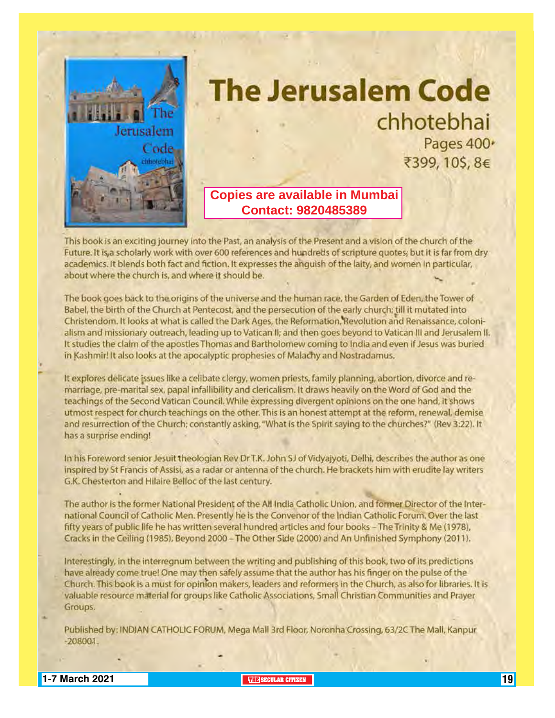

# **The Jerusalem Code** chhotebhai Pages 400\* ₹399, 10\$, 8€

# **Copies are available in Mumbai Contact: 9820485389**

This book is an exciting journey into the Past, an analysis of the Present and a vision of the church of the Future. It is, a scholarly work with over 600 references and hundreds of scripture quotes; but it is far from dry academics. It blends both fact and fiction. It expresses the anguish of the laity, and women in particular, about where the church is, and where it should be.

The book goes back to the origins of the universe and the human race, the Garden of Eden, the Tower of Babel, the birth of the Church at Pentecost, and the persecution of the early church; till it mutated into Christendom. It looks at what is called the Dark Ages, the Reformation, Revolution and Renaissance, colonialism and missionary outreach, leading up to Vatican II; and then goes beyond to Vatican III and Jerusalem II. It studies the claim of the apostles Thomas and Bartholomew coming to India and even if Jesus was buried in Kashmir! It also looks at the apocalyptic prophesies of Malachy and Nostradamus.

It explores delicate issues like a celibate clergy, women priests, family planning, abortion, divorce and remarriage, pre-marital sex, papal infallibility and clericalism. It draws heavily on the Word of God and the teachings of the Second Vatican Council. While expressing divergent opinions on the one hand, it shows utmost respect for church teachings on the other. This is an honest attempt at the reform, renewal, demise and resurrection of the Church; constantly asking, "What is the Spirit saying to the churches?" (Rev 3:22). It has a surprise ending!

In his Foreword senior Jesuit theologian Rev Dr T.K. John SJ of Vidyajyoti, Delhi, describes the author as one inspired by St Francis of Assisi, as a radar or antenna of the church. He brackets him with erudite lay writers G.K. Chesterton and Hilaire Belloc of the last century.

The author is the former National President of the All India Catholic Union, and former Director of the International Council of Catholic Men. Presently he is the Convenor of the Indian Catholic Forum. Over the last fifty years of public life he has written several hundred articles and four books - The Trinity & Me (1978), Cracks in the Ceiling (1985), Beyond 2000 - The Other Side (2000) and An Unfinished Symphony (2011).

Interestingly, in the interregnum between the writing and publishing of this book, two of its predictions have already come true! One may then safely assume that the author has his finger on the pulse of the Church. This book is a must for opinion makers, leaders and reformers in the Church, as also for libraries. It is valuable resource material for groups like Catholic Associations, Small Christian Communities and Prayer Groups.

Published by: INDJAN CATHOLIC FORUM, Mega Mall 3rd Floor, Noronha Crossing, 63/2C The Mall, Kanpur  $-208001.$